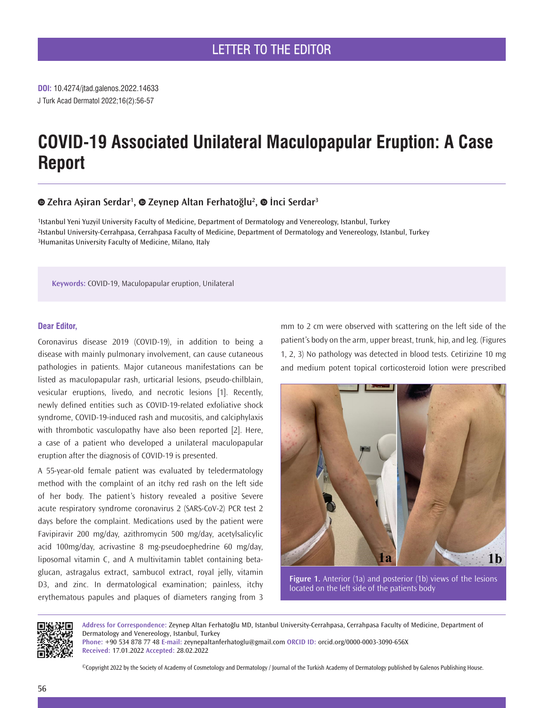**DOI:** 10.4274/jtad.galenos.2022.14633 J Turk Acad Dermatol 2022;16(2):56-57

# **COVID-19 Associated Unilateral Maculopapular Eruption: A Case Report**

# **Zehra Aşiran Serdar<sup>1</sup> ,Zeynep Altan Ferhatoğlu<sup>2</sup> ,İnci Serdar<sup>3</sup>**

1Istanbul Yeni Yuzyil University Faculty of Medicine, Department of Dermatology and Venereology, Istanbul, Turkey 2Istanbul University-Cerrahpasa, Cerrahpasa Faculty of Medicine, Department of Dermatology and Venereology, Istanbul, Turkey 3Humanitas University Faculty of Medicine, Milano, Italy

**Keywords:** COVID-19, Maculopapular eruption, Unilateral

### **Dear Editor,**

Coronavirus disease 2019 (COVID-19), in addition to being a disease with mainly pulmonary involvement, can cause cutaneous pathologies in patients. Major cutaneous manifestations can be listed as maculopapular rash, urticarial lesions, pseudo-chilblain, vesicular eruptions, livedo, and necrotic lesions [1]. Recently, newly defined entities such as COVID-19-related exfoliative shock syndrome, COVID-19‐induced rash and mucositis, and calciphylaxis with thrombotic vasculopathy have also been reported [2]. Here, a case of a patient who developed a unilateral maculopapular eruption after the diagnosis of COVID-19 is presented.

A 55-year-old female patient was evaluated by teledermatology method with the complaint of an itchy red rash on the left side of her body. The patient's history revealed a positive Severe acute respiratory syndrome coronavirus 2 (SARS-CoV-2) PCR test 2 days before the complaint. Medications used by the patient were Favipiravir 200 mg/day, azithromycin 500 mg/day, acetylsalicylic acid 100mg/day, acrivastine 8 mg-pseudoephedrine 60 mg/day, liposomal vitamin C, and A multivitamin tablet containing betaglucan, astragalus extract, sambucol extract, royal jelly, vitamin D3, and zinc. In dermatological examination; painless, itchy erythematous papules and plaques of diameters ranging from 3

mm to 2 cm were observed with scattering on the left side of the patient's body on the arm, upper breast, trunk, hip, and leg. (Figures 1, 2, 3) No pathology was detected in blood tests. Cetirizine 10 mg and medium potent topical corticosteroid lotion were prescribed



**Figure 1.** Anterior (1a) and posterior (1b) views of the lesions located on the left side of the patients body



**Address for Correspondence:** Zeynep Altan Ferhatoğlu MD, Istanbul University-Cerrahpasa, Cerrahpasa Faculty of Medicine, Department of Dermatology and Venereology, Istanbul, Turkey

**Phone:** +90 534 878 77 48 **E-mail:** zeynepaltanferhatoglu@gmail.com **ORCID ID:** orcid.org/0000-0003-3090-656X **Received:** 17.01.2022 **Accepted:** 28.02.2022

©Copyright 2022 by the Society of Academy of Cosmetology and Dermatology / Journal of the Turkish Academy of Dermatology published by Galenos Publishing House.